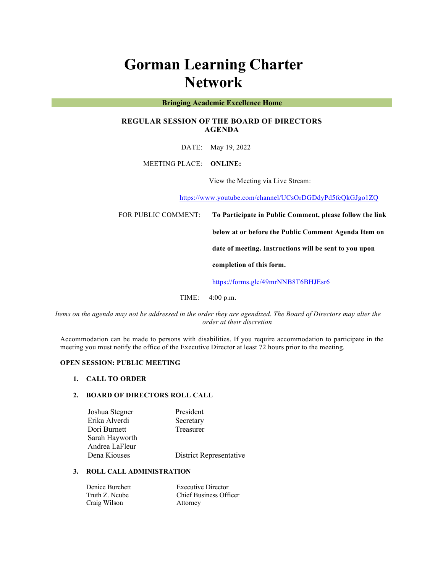# **Gorman Learning Charter Network**

### **Bringing Academic Excellence Home**

# **REGULAR SESSION OF THE BOARD OF DIRECTORS AGENDA**

DATE: May 19, 2022

MEETING PLACE: **ONLINE:** 

View the Meeting via Live Stream:

https://www.youtube.com/channel/UCsOrDGDdyPd5fcQkGJgo1ZQ

FOR PUBLIC COMMENT: **To Participate in Public Comment, please follow the link** 

**below at or before the Public Comment Agenda Item on** 

**date of meeting. Instructions will be sent to you upon** 

**completion of this form.**

https://forms.gle/49mrNNB8T6BHJEsr6

TIME: 4:00 p.m.

*Items on the agenda may not be addressed in the order they are agendized. The Board of Directors may alter the order at their discretion*

Accommodation can be made to persons with disabilities. If you require accommodation to participate in the meeting you must notify the office of the Executive Director at least 72 hours prior to the meeting.

### **OPEN SESSION: PUBLIC MEETING**

#### **1. CALL TO ORDER**

## **2. BOARD OF DIRECTORS ROLL CALL**

| Joshua Stegner | President               |
|----------------|-------------------------|
| Erika Alverdi  | Secretary               |
| Dori Burnett   | Treasurer               |
| Sarah Hayworth |                         |
| Andrea LaFleur |                         |
| Dena Kiouses   | District Representative |

## **3. ROLL CALL ADMINISTRATION**

| Denice Burchett | <b>Executive Director</b>     |
|-----------------|-------------------------------|
| Truth Z. Neube  | <b>Chief Business Officer</b> |
| Craig Wilson    | Attorney                      |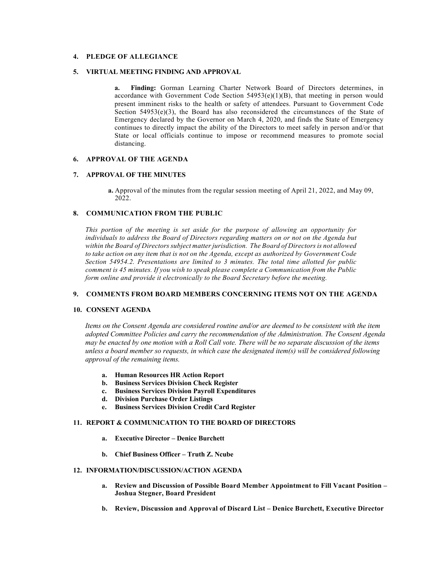### **4. PLEDGE OF ALLEGIANCE**

#### **5. VIRTUAL MEETING FINDING AND APPROVAL**

**a. Finding:** Gorman Learning Charter Network Board of Directors determines, in accordance with Government Code Section 54953(e)(1)(B), that meeting in person would present imminent risks to the health or safety of attendees. Pursuant to Government Code Section  $54953(e)(3)$ , the Board has also reconsidered the circumstances of the State of Emergency declared by the Governor on March 4, 2020, and finds the State of Emergency continues to directly impact the ability of the Directors to meet safely in person and/or that State or local officials continue to impose or recommend measures to promote social distancing.

## **6. APPROVAL OF THE AGENDA**

## **7. APPROVAL OF THE MINUTES**

**a.** Approval of the minutes from the regular session meeting of April 21, 2022, and May 09, 2022.

## **8. COMMUNICATION FROM THE PUBLIC**

*This portion of the meeting is set aside for the purpose of allowing an opportunity for*  individuals to address the Board of Directors regarding matters on or not on the Agenda but *within the Board of Directors subject matter jurisdiction. The Board of Directors is not allowed to take action on any item that is not on the Agenda, except as authorized by Government Code Section 54954.2. Presentations are limited to 3 minutes. The total time allotted for public comment is 45 minutes. If you wish to speak please complete a Communication from the Public form online and provide it electronically to the Board Secretary before the meeting.*

#### **9. COMMENTS FROM BOARD MEMBERS CONCERNING ITEMS NOT ON THE AGENDA**

#### **10. CONSENT AGENDA**

*Items on the Consent Agenda are considered routine and/or are deemed to be consistent with the item adopted Committee Policies and carry the recommendation of the Administration. The Consent Agenda may be enacted by one motion with a Roll Call vote. There will be no separate discussion of the items unless a board member so requests, in which case the designated item(s) will be considered following approval of the remaining items.*

- **a. Human Resources HR Action Report**
- **b. Business Services Division Check Register**
- **c. Business Services Division Payroll Expenditures**
- **d. Division Purchase Order Listings**
- **e. Business Services Division Credit Card Register**

#### **11. REPORT & COMMUNICATION TO THE BOARD OF DIRECTORS**

- **a. Executive Director – Denice Burchett**
- **b. Chief Business Officer – Truth Z. Ncube**

### **12. INFORMATION/DISCUSSION/ACTION AGENDA**

- **a. Review and Discussion of Possible Board Member Appointment to Fill Vacant Position – Joshua Stegner, Board President**
- **b. Review, Discussion and Approval of Discard List – Denice Burchett, Executive Director**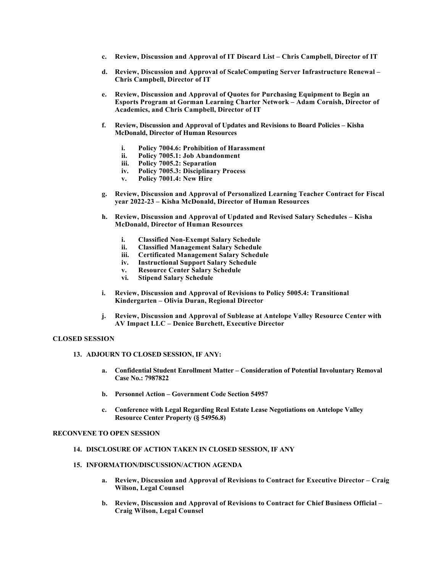- **c. Review, Discussion and Approval of IT Discard List – Chris Campbell, Director of IT**
- **d. Review, Discussion and Approval of ScaleComputing Server Infrastructure Renewal – Chris Campbell, Director of IT**
- **e. Review, Discussion and Approval of Quotes for Purchasing Equipment to Begin an Esports Program at Gorman Learning Charter Network – Adam Cornish, Director of Academics, and Chris Campbell, Director of IT**
- **f. Review, Discussion and Approval of Updates and Revisions to Board Policies – Kisha McDonald, Director of Human Resources**
	- **i. Policy 7004.6: Prohibition of Harassment**
	- **ii. Policy 7005.1: Job Abandonment**
	- **iii. Policy 7005.2: Separation**
	- **iv. Policy 7005.3: Disciplinary Process**
	- **v. Policy 7001.4: New Hire**
- **g. Review, Discussion and Approval of Personalized Learning Teacher Contract for Fiscal year 2022-23 – Kisha McDonald, Director of Human Resources**
- **h. Review, Discussion and Approval of Updated and Revised Salary Schedules – Kisha McDonald, Director of Human Resources**
	- **i. Classified Non-Exempt Salary Schedule**
	- **ii. Classified Management Salary Schedule**
	- **iii. Certificated Management Salary Schedule**
	- **iv. Instructional Support Salary Schedule**
	- **v. Resource Center Salary Schedule**
	- **vi. Stipend Salary Schedule**
- **i. Review, Discussion and Approval of Revisions to Policy 5005.4: Transitional Kindergarten – Olivia Duran, Regional Director**
- **j. Review, Discussion and Approval of Sublease at Antelope Valley Resource Center with AV Impact LLC – Denice Burchett, Executive Director**

#### **CLOSED SESSION**

#### **13. ADJOURN TO CLOSED SESSION, IF ANY:**

- **a. Confidential Student Enrollment Matter – Consideration of Potential Involuntary Removal Case No.: 7987822**
- **b. Personnel Action – Government Code Section 54957**
- **c. Conference with Legal Regarding Real Estate Lease Negotiations on Antelope Valley Resource Center Property (§ 54956.8)**

#### **RECONVENE TO OPEN SESSION**

#### **14. DISCLOSURE OF ACTION TAKEN IN CLOSED SESSION, IF ANY**

## **15. INFORMATION/DISCUSSION/ACTION AGENDA**

- **a. Review, Discussion and Approval of Revisions to Contract for Executive Director – Craig Wilson, Legal Counsel**
- **b. Review, Discussion and Approval of Revisions to Contract for Chief Business Official – Craig Wilson, Legal Counsel**